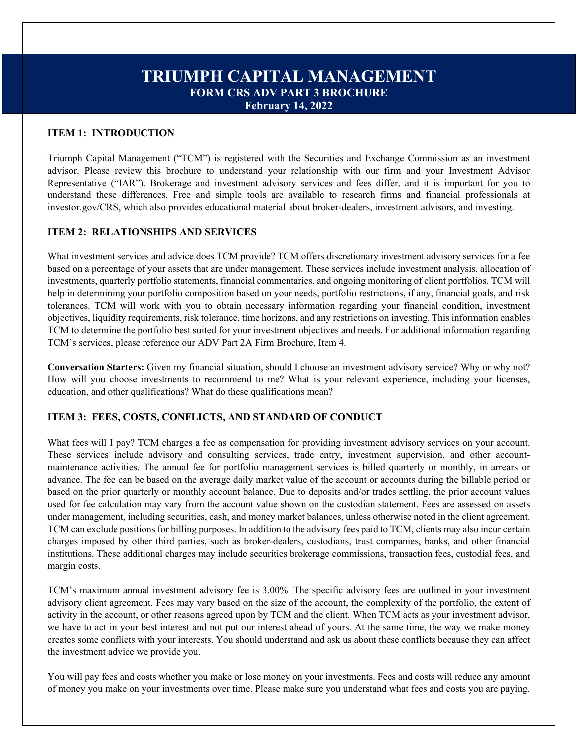# **TRIUMPH CAPITAL MANAGEMENT FORM CRS ADV PART 3 BROCHURE February 14, 2022**

## **ITEM 1: INTRODUCTION**

Triumph Capital Management ("TCM") is registered with the Securities and Exchange Commission as an investment advisor. Please review this brochure to understand your relationship with our firm and your Investment Advisor Representative ("IAR"). Brokerage and investment advisory services and fees differ, and it is important for you to understand these differences. Free and simple tools are available to research firms and financial professionals at investor.gov/CRS, which also provides educational material about broker-dealers, investment advisors, and investing.

## **ITEM 2: RELATIONSHIPS AND SERVICES**

What investment services and advice does TCM provide? TCM offers discretionary investment advisory services for a fee based on a percentage of your assets that are under management. These services include investment analysis, allocation of investments, quarterly portfolio statements, financial commentaries, and ongoing monitoring of client portfolios. TCM will help in determining your portfolio composition based on your needs, portfolio restrictions, if any, financial goals, and risk tolerances. TCM will work with you to obtain necessary information regarding your financial condition, investment objectives, liquidity requirements, risk tolerance, time horizons, and any restrictions on investing. This information enables TCM to determine the portfolio best suited for your investment objectives and needs. For additional information regarding TCM's services, please reference our ADV Part 2A Firm Brochure, Item 4.

**Conversation Starters:** Given my financial situation, should I choose an investment advisory service? Why or why not? How will you choose investments to recommend to me? What is your relevant experience, including your licenses, education, and other qualifications? What do these qualifications mean?

## **ITEM 3: FEES, COSTS, CONFLICTS, AND STANDARD OF CONDUCT**

What fees will I pay? TCM charges a fee as compensation for providing investment advisory services on your account. These services include advisory and consulting services, trade entry, investment supervision, and other accountmaintenance activities. The annual fee for portfolio management services is billed quarterly or monthly, in arrears or advance. The fee can be based on the average daily market value of the account or accounts during the billable period or based on the prior quarterly or monthly account balance. Due to deposits and/or trades settling, the prior account values used for fee calculation may vary from the account value shown on the custodian statement. Fees are assessed on assets under management, including securities, cash, and money market balances, unless otherwise noted in the client agreement. TCM can exclude positions for billing purposes. In addition to the advisory fees paid to TCM, clients may also incur certain charges imposed by other third parties, such as broker-dealers, custodians, trust companies, banks, and other financial institutions. These additional charges may include securities brokerage commissions, transaction fees, custodial fees, and margin costs.

TCM's maximum annual investment advisory fee is 3.00%. The specific advisory fees are outlined in your investment advisory client agreement. Fees may vary based on the size of the account, the complexity of the portfolio, the extent of activity in the account, or other reasons agreed upon by TCM and the client. When TCM acts as your investment advisor, we have to act in your best interest and not put our interest ahead of yours. At the same time, the way we make money creates some conflicts with your interests. You should understand and ask us about these conflicts because they can affect the investment advice we provide you.

You will pay fees and costs whether you make or lose money on your investments. Fees and costs will reduce any amount of money you make on your investments over time. Please make sure you understand what fees and costs you are paying.